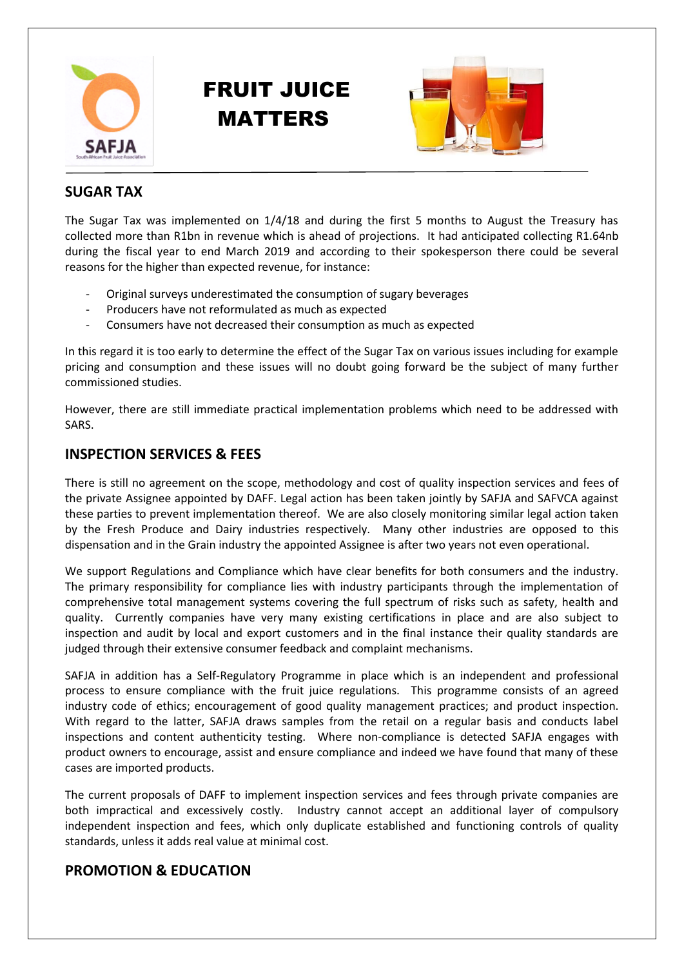





## **SUGAR TAX**

The Sugar Tax was implemented on 1/4/18 and during the first 5 months to August the Treasury has collected more than R1bn in revenue which is ahead of projections. It had anticipated collecting R1.64nb during the fiscal year to end March 2019 and according to their spokesperson there could be several reasons for the higher than expected revenue, for instance:

- Original surveys underestimated the consumption of sugary beverages
- Producers have not reformulated as much as expected
- Consumers have not decreased their consumption as much as expected

In this regard it is too early to determine the effect of the Sugar Tax on various issues including for example pricing and consumption and these issues will no doubt going forward be the subject of many further commissioned studies.

However, there are still immediate practical implementation problems which need to be addressed with SARS.

#### **INSPECTION SERVICES & FEES**

There is still no agreement on the scope, methodology and cost of quality inspection services and fees of the private Assignee appointed by DAFF. Legal action has been taken jointly by SAFJA and SAFVCA against these parties to prevent implementation thereof. We are also closely monitoring similar legal action taken by the Fresh Produce and Dairy industries respectively. Many other industries are opposed to this dispensation and in the Grain industry the appointed Assignee is after two years not even operational.

We support Regulations and Compliance which have clear benefits for both consumers and the industry. The primary responsibility for compliance lies with industry participants through the implementation of comprehensive total management systems covering the full spectrum of risks such as safety, health and quality. Currently companies have very many existing certifications in place and are also subject to inspection and audit by local and export customers and in the final instance their quality standards are judged through their extensive consumer feedback and complaint mechanisms.

SAFJA in addition has a Self-Regulatory Programme in place which is an independent and professional process to ensure compliance with the fruit juice regulations. This programme consists of an agreed industry code of ethics; encouragement of good quality management practices; and product inspection. With regard to the latter, SAFJA draws samples from the retail on a regular basis and conducts label inspections and content authenticity testing. Where non-compliance is detected SAFJA engages with product owners to encourage, assist and ensure compliance and indeed we have found that many of these cases are imported products.

The current proposals of DAFF to implement inspection services and fees through private companies are both impractical and excessively costly. Industry cannot accept an additional layer of compulsory independent inspection and fees, which only duplicate established and functioning controls of quality standards, unless it adds real value at minimal cost.

#### **PROMOTION & EDUCATION**